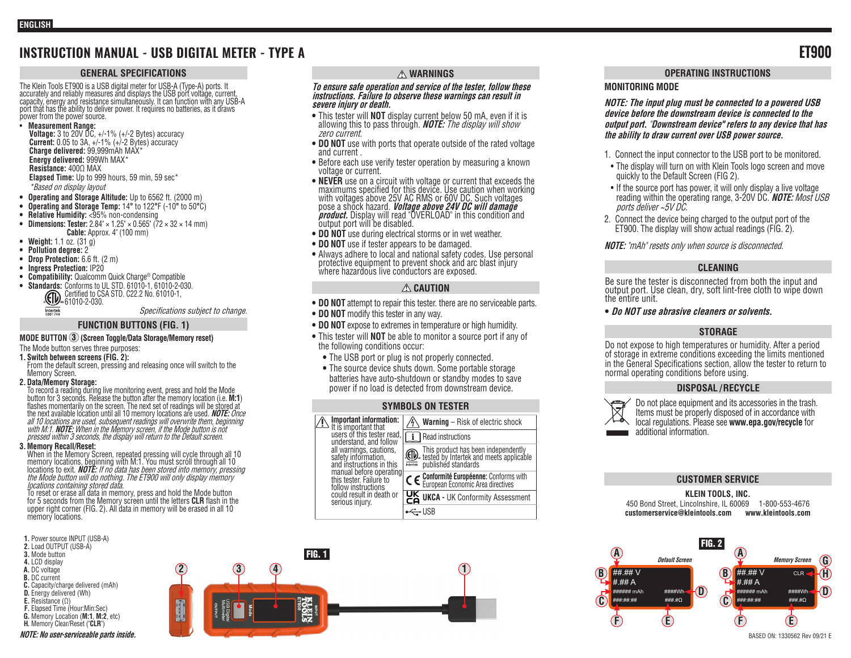# **INSTRUCTION MANUAL - USB DIGITAL METER - TYPE A ET900**

## **GENERAL SPECIFICATIONS**

The Klein Tools ET900 is a USB digital meter for USB-A (Type-A) ports. It<br>accurately and reliably measures and displays the USB port voltage, curr<u>ent.</u> capacity, energy and resistance simultaneously. It can function with any USB-A port that has the ability to deliver power. It requires no batteries, as it draws power from the power source.

• **Measurement Range:** 

**Voltage:** 3 to 20V DC, +/-1% (+/-2 Bytes) accuracy **Current:** 0.05 to 3A, +/-1% (+/-2 Bytes) accuracy **Charge delivered:** 99,999mAh MAX\* **Energy delivered:** 999Wh MAX\* **Resistance:** 400Ω MAX **Elapsed Time:** Up to 999 hours, 59 min, 59 sec\* \*Based on display layout

- **• Operating and Storage Altitude:** Up to 6562 ft. (2000 m)
- **• Operating and Storage Temp:** 14**°** to 122**°**F (-10**°** to 50**°**C)
- **• Relative Humidity:** <95% non-condensing
- **• Dimensions: Tester:** 2.84" × 1.25" × 0.565" (72 × 32 × 14 mm) **Cable:** Approx. 4" (100 mm)
- **• Weight:** 1.1 oz. (31 g)
- **• Pollution degree:** 2
- **• Drop Protection:** 6.6 ft. (2 m)
- **• Ingress Protection:** IP20
- **• Compatibility:** Qualcomm Quick Charge® Compatible
- **• Standards:** Conforms to UL STD. 61010-1, 61010-2-030. Certified to CSA STD. C22.2 No. 61010-1, 61010-2-030. Intertek

Specifications subject to change.

## **FUNCTION BUTTONS (FIG. 1)**

# **MODE BUTTON 3 (Screen Toggle/Data Storage/Memory reset)**

The Mode button serves three purposes:

- **1. Switch between screens (FIG. 2):**
- From the default screen, pressing and releasing once will switch to the Memory Screen.
- **2.Data/Memory Storage:**

To record a reading during live monitoring event, press and hold the Mode button for 3 seconds. Release the button after the memory location (i.e. M:1) flashes momentarily on the screen. The next set of readings will be stored at the next available location until all 10 memory locations are used. **NOTE:** Once all 10 locations are used, subsequent readings will overwrite them, beginning<br>with M:1. **NOTE:** When in the Memory screen, if the Mode button is not<br>pressed within 3 seconds, the display will return to the Default screen.

## **3.Memory Recall/Reset:**

When in the Memory Screen, repeated pressing will cycle through all 10<br>memory locations, beginning with M:1. You must scroll through all 10<br>locations to exit. **NOTE:** If no data has been stored into memory, pressing<br>*the M* locations containing stored data.

To reset or erase all data in memory, press and hold the Mode button for 5 seconds from the Memory screen until the letters **CLR** flash in the upper right corner (FIG. 2). All data in memory will be erased in all 10 memory locations.

- **1.** Power source INPUT (USB-A)
- **2.** Load OUTPUT (USB-A)
- **3.** Mode button **4.** LCD display
- **A.** DC voltage
- **B.** DC current
- **C.** Capacity/charge delivered (mAh)
- **D.** Energy delivered (Wh)
- **E.** Resistance (Ω)
- **F.** Elapsed Time (Hour:Min:Sec) **G.** Memory Location (**M:1**, **M:2**, etc)
- **H.** Memory Clear/Reset ("**CLR**")

## **WARNINGS**

#### **To ensure safe operation and service of the tester, follow these instructions. Failure to observe these warnings can result in severe injury or death.**

- **•** This tester will **NOT** display current below 50 mA, even if it is allowing this to pass through. **NOTE:** The display will show zero current.
- **• DO NOT** use with ports that operate outside of the rated voltage and current .
- **•** Before each use verify tester operation by measuring a known voltage or current.
- **• NEVER** use on a circuit with voltage or current that exceeds the maximums specified for this device. Use caution when working with voltages above 25V AC RMS or 60V DC. Such voltages pose a shock hazard. **Voltage above 24V DC will damage product.** Display will read "OVERLOAD" in this condition and output port will be disabled.
- **• DO NOT** use during electrical storms or in wet weather.
- **• DO NOT** use if tester appears to be damaged.
- **•** Always adhere to local and national safety codes. Use personal protective equipment to prevent shock and arc blast injury where hazardous live conductors are exposed.

## **CAUTION**

- **• DO NOT** attempt to repair this tester. there are no serviceable parts.
- **• DO NOT** modify this tester in any way.
- **• DO NOT** expose to extremes in temperature or high humidity.
- **•** This tester will **NOT** be able to monitor a source port if any of the following conditions occur:
	- **•** The USB port or plug is not properly connected.
	- **•** The source device shuts down. Some portable storage batteries have auto-shutdown or standby modes to save power if no load is detected from downstream device.

## **SYMBOLS ON TESTER**

| Important information:<br>It is important that<br>users of this tester read.<br>understand, and follow<br>all warnings, cautions.<br>safety information,<br>and instructions in this<br>manual before operating<br>this tester. Failure to<br>follow instructions<br>could result in death or<br>serious injury. | <b>Warning</b> – Risk of electric shock                                                                    |
|------------------------------------------------------------------------------------------------------------------------------------------------------------------------------------------------------------------------------------------------------------------------------------------------------------------|------------------------------------------------------------------------------------------------------------|
|                                                                                                                                                                                                                                                                                                                  | Read instructions                                                                                          |
|                                                                                                                                                                                                                                                                                                                  | This product has been independently<br>tested by Intertek and meets applicable<br>were published standards |
|                                                                                                                                                                                                                                                                                                                  | C E Conformité Européenne: Conforms with<br>European Economic Area directives                              |
|                                                                                                                                                                                                                                                                                                                  | UK UKCA - UK Conformity Assessment                                                                         |
|                                                                                                                                                                                                                                                                                                                  |                                                                                                            |



## **OPERATING INSTRUCTIONS**

## **MONITORING MODE**

**NOTE: The input plug must be connected to a powered USB device before the downstream device is connected to the output port.** "**Downstream device" refers to any device that has the ability to draw current over USB power source.** 

- 1. Connect the input connector to the USB port to be monitored.
- The display will turn on with Klein Tools logo screen and move quickly to the Default Screen (FIG 2).
- If the source port has power, it will only display a live voltage reading within the operating range, 3-20V DC. **NOTE:** Most USB ports deliver ~5V DC.
- 2. Connect the device being charged to the output port of the ET900. The display will show actual readings (FIG. 2).

**NOTE:** "mAh" resets only when source is disconnected.

# **CLEANING**

Be sure the tester is disconnected from both the input and output port. Use clean, dry, soft lint-free cloth to wipe down the entire unit.

**• Do NOT use abrasive cleaners or solvents.**

# **STORAGE**

Do not expose to high temperatures or humidity. After a period of storage in extreme conditions exceeding the limits mentioned in the General Specifications section, allow the tester to return to normal operating conditions before using.

# **DISPOSAL / RECYCLE**



Do not place equipment and its accessories in the trash. Items must be properly disposed of in accordance with local regulations. Please see **www.epa.gov/recycle** for additional information.

# **CUSTOMER SERVICE**

## **KLEIN TOOLS, INC.**

450 Bond Street, Lincolnshire, IL 60069 1-800-553-4676 **customerservice@kleintools.com www.kleintools.com**

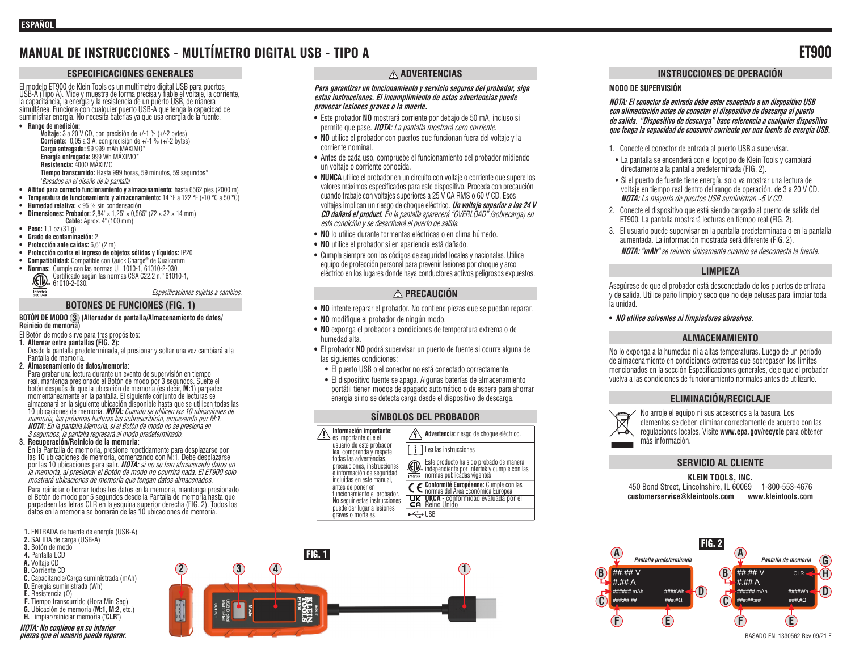# **MANUAL DE INSTRUCCIONES - MULTÍMETRO DIGITAL USB - TIPO A ET900**

#### **ESPECIFICACIONES GENERALES**

El modelo ET900 de Klein Tools es un multímetro digital USB para puertos USB-A (Tipo A). Mide y muestra de forma precisa y fiable el voltaje, la corriente, la capacitancia, la energía y la resistencia de un puerto USB, de manera simultánea. Funciona con cualquier puerto USB-A que tenga la capacidad de suministrar energía. No necesita baterías ya que usa energía de la fuente.

**• Rango de medición:** 

**Voltaje:** 3 a 20 V CD, con precisión de +/-1 % (+/-2 bytes) **Corriente:** 0,05 a 3 A, con precisión de +/-1 % (+/-2 bytes) **Carga entregada:** 99 999 mAh MÁXIMO\* **Energía entregada:** 999 Wh MÁXIMO\* **Resistencia:** 400Ω MÁXIMO **Tiempo transcurrido:** Hasta 999 horas, 59 minutos, 59 segundos\* \*Basados en el diseño de la pantalla

- **• Altitud para correcto funcionamiento y almacenamiento:** hasta 6562 pies (2000 m)
- **• Temperatura de funcionamiento y almacenamiento:** 14 °F a 122 **°**F (-10 °C a 50 **°**C)
- **• Humedad relativa:** < 95 % sin condensación
- **• Dimensiones: Probador:** 2,84" × 1,25" × 0,565" (72 × 32 × 14 mm) **Cable:** Aprox. 4" (100 mm)
- **• Peso:** 1,1 oz (31 g)
- **• Grado de contaminación:** 2
- **• Protección ante caídas:** 6,6' (2 m)
- **• Protección contra el ingreso de objetos sólidos y líquidos:** IP20
- **• Compatibilidad:** Compatible con Quick Charge® de Qualcomm
- **• Normas:** Cumple con las normas UL 1010-1, 61010-2-030.
	- Certificado según las normas CSA C22.2 n.° 61010-1, GD, Certificado seg  $\frac{1}{5001748}$

Especificaciones sujetas a cambios.

## **BOTONES DE FUNCIONES (FIG. 1)**

#### **BOTÓN DE MODO 3 (Alternador de pantalla/Almacenamiento de datos/ Reinicio de memoria)**

- El Botón de modo sirve para tres propósitos:
- **1. Alternar entre pantallas (FIG. 2):**  Desde la pantalla predeterminada, al presionar y soltar una vez cambiará a la Pantalla de memoria.
- **2. Almacenamiento de datos/memoria:**

Para grabar una lectura durante un evento de supervisión en tiempo real, mantenga presionado el Botón de modo por 3 segundos. Suelte el momentáneamente en la pantalla. El siguiente conjunto de lecturas se almacenará en la siguiente ubicación disponible hasta que se utilicen todas las 10 ubicaciones de memoria. **NOTA:** Cuando se utilicen las 10 ubicaciones de memoria, las próximas lecturas las sobrescribirán, empezando por M:1. **NOTA:** En la pantalla Memoria, si el Botón de modo no se presiona en 3 segundos, la pantalla regresará al modo predeterminado.

#### **3. Recuperación/Reinicio de la memoria:**

En la Pantalla de memoria, presione repetidamente para desplazarse por las 10 ubicaciones de memoria, comenzando con M:1. Debe desplazarse por las 10 ubicaciones para salir. **NOTA:** si no se han almacenado datos en la memoria, al presionar el Botón de modo no ocurrirá nada. El ET900 solo mostrará ubicaciones de memoria que tengan datos almacenados.

Para reiniciar o borrar todos los datos en la memoria, mantenga presionado<br>el Botón de modo por 5 segundos desde la Pantalla de memoria hasta que parpadeen las letras CLR en la esquina superior derecha (FIG. 2). Todos los datos en la memoria se borrarán de las 10 ubicaciones de memoria.

- **1.** ENTRADA de fuente de energía (USB-A)
- **2.** SALIDA de carga (USB-A)
- **3.** Botón de modo
- **4.** Pantalla LCD
- **A.** Voltaje CD
- **B.** Corriente CD
- **C.** Capacitancia/Carga suministrada (mAh) **D.** Energía suministrada (Wh)
- **E.** Resistencia (Ω)
- 
- **F.** Tiempo transcurrido (Hora:Min:Seg) **G.** Ubicación de memoria (**M:1**, **M:2**, etc.)
- **H.** Limpiar/reiniciar memoria ("**CLR**")
- **NOTA: No contiene en su interior piezas que el usuario pueda reparar.**

## **ADVERTENCIAS**

#### **Para garantizar un funcionamiento y servicio seguros del probador, siga estas instrucciones. El incumplimiento de estas advertencias puede provocar lesiones graves o la muerte.**

- **•** Este probador **NO** mostrará corriente por debajo de 50 mA, incluso si permite que pase. **NOTA:** La pantalla mostrará cero corriente.
- **• NO** utilice el probador con puertos que funcionan fuera del voltaje y la corriente nominal.
- **•** Antes de cada uso, compruebe el funcionamiento del probador midiendo un voltaje o corriente conocida.
- **• NUNCA** utilice el probador en un circuito con voltaje o corriente que supere los valores máximos especificados para este dispositivo. Proceda con precaución cuando trabaje con voltajes superiores a 25 V CA RMS o 60 V CD. Esos voltajes implican un riesgo de choque eléctrico. **Un voltaje superior a los 24 V CD dañará el product.** En la pantalla aparecerá "OVERLOAD" (sobrecarga) en esta condición y se desactivará el puerto de salida.
- **• NO** lo utilice durante tormentas eléctricas o en clima húmedo.
- **• NO** utilice el probador si en apariencia está dañado.
- **•** Cumpla siempre con los códigos de seguridad locales y nacionales. Utilice equipo de protección personal para prevenir lesiones por choque y arco eléctrico en los lugares donde haya conductores activos peligrosos expuestos.

## **PRECAUCIÓN**

- **• NO** intente reparar el probador. No contiene piezas que se puedan reparar.
- **• NO** modifique el probador de ningún modo.
- **• NO** exponga el probador a condiciones de temperatura extrema o de humedad alta.
- **•** El probador **NO** podrá supervisar un puerto de fuente si ocurre alguna de las siguientes condiciones:
	- **•** El puerto USB o el conector no está conectado correctamente.
	- **•** El dispositivo fuente se apaga. Algunas baterías de almacenamiento portátil tienen modos de apagado automático o de espera para ahorrar energía si no se detecta carga desde el dispositivo de descarga.

#### **SÍMBOLOS DEL PROBADOR**

incluidas en este manual, antes de poner en funcionamiento el probador. No seguir estas instrucciones puede dar lugar a lesiones graves o mortales. **UKCA -** conformidad evaluada por el Reino Unido  $\leftarrow$ USB



## **INSTRUCCIONES DE OPERACIÓN**

#### **MODO DE SUPERVISIÓN**

**NOTA: El conector de entrada debe estar conectado a un dispositivo USB con alimentación antes de conectar el dispositivo de descarga al puerto de salida. "Dispositivo de descarga" hace referencia a cualquier dispositivo que tenga la capacidad de consumir corriente por una fuente de energía USB.** 

- 1. Conecte el conector de entrada al puerto USB a supervisar.
- La pantalla se encenderá con el logotipo de Klein Tools y cambiará directamente a la pantalla predeterminada (FIG. 2).
- Si el puerto de fuente tiene energía, solo va mostrar una lectura de voltaje en tiempo real dentro del rango de operación, de 3 a 20 V CD. **NOTA:** La mayoría de puertos USB suministran ~5 V CD.
- 2. Conecte el dispositivo que está siendo cargado al puerto de salida del ET900. La pantalla mostrará lecturas en tiempo real (FIG. 2).
- 3. El usuario puede supervisar en la pantalla predeterminada o en la pantalla aumentada. La información mostrada será diferente (FIG. 2). **NOTA: "mAh"** se reinicia únicamente cuando se desconecta la fuente.

#### **LIMPIEZA**

Asegúrese de que el probador está desconectado de los puertos de entrada y de salida. Utilice paño limpio y seco que no deje pelusas para limpiar toda la unidad.

**• NO utilice solventes ni limpiadores abrasivos.**

#### **ALMACENAMIENTO**

No lo exponga a la humedad ni a altas temperaturas. Luego de un período de almacenamiento en condiciones extremas que sobrepasen los límites mencionados en la sección Especificaciones generales, deje que el probador vuelva a las condiciones de funcionamiento normales antes de utilizarlo.

#### **ELIMINACIÓN/RECICLAJE**



No arroje el equipo ni sus accesorios a la basura. Los elementos se deben eliminar correctamente de acuerdo con las regulaciones locales. Visite **www.epa.gov/recycle** para obtener más información.

#### **SERVICIO AL CLIENTE**

#### **KLEIN TOOLS, INC.** 450 Bond Street, Lincolnshire, IL 60069 1-800-553-4676 **customerservice@kleintools.com www.kleintools.com**

FIG. 2 **Pantalla predeterminada** ##.## V  $# H# A$ ###### mAh ####Wh ###:##:## ###.#Ω **E D A C B F Pantalla de memoria**  $\frac{4\#}{4\#}\frac{4\#}{V}$  CLR- $# H# A$ ###### mAh #####Wh ###:##:## ###.#Ω **A F D C B E H G** BASADO EN: 1330562 Rev 09/21 E





**CE** Conformité Européenne: Cumple con las